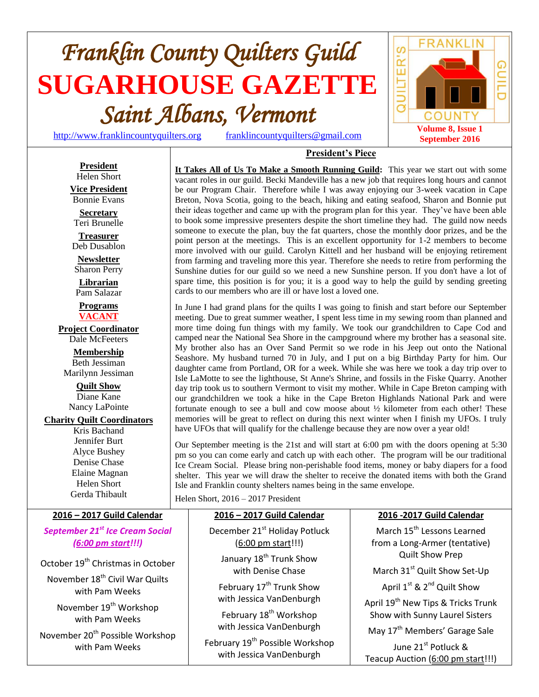# *Franklin County Quilters Guild*  **SUGARHOUSE GAZETTE** *Saint Albans, Vermont*

[http://www.franklincountyquilters.org](http://www.franklincountyquilters.org/) [franklincountyquilters@gmail.com](mailto:franklincountyquilters@gmail.com)



#### **President** Helen Short **Vice President** Bonnie Evans **Secretary** Teri Brunelle **Treasurer** Deb Dusablon **Newsletter** Sharon Perry **Librarian** Pam Salazar **Programs VACANT Project Coordinator** Dale McFeeters **Membership** Beth Jessiman Marilynn Jessiman **Quilt Show** Diane Kane Nancy LaPointe

#### **Charity Quilt Coordinators**

Kris Bachand Jennifer Burt Alyce Bushey Denise Chase Elaine Magnan Helen Short Gerda Thibault

**It Takes All of Us To Make a Smooth Running Guild:** This year we start out with some vacant roles in our guild. Becki Mandeville has a new job that requires long hours and cannot be our Program Chair. Therefore while I was away enjoying our 3-week vacation in Cape Breton, Nova Scotia, going to the beach, hiking and eating seafood, Sharon and Bonnie put their ideas together and came up with the program plan for this year. They've have been able to book some impressive presenters despite the short timeline they had. The guild now needs someone to execute the plan, buy the fat quarters, chose the monthly door prizes, and be the point person at the meetings. This is an excellent opportunity for 1-2 members to become more involved with our guild. Carolyn Kittell and her husband will be enjoying retirement from farming and traveling more this year. Therefore she needs to retire from performing the Sunshine duties for our guild so we need a new Sunshine person. If you don't have a lot of spare time, this position is for you; it is a good way to help the guild by sending greeting cards to our members who are ill or have lost a loved one.

**President's Piece**

In June I had grand plans for the quilts I was going to finish and start before our September meeting. Due to great summer weather, I spent less time in my sewing room than planned and more time doing fun things with my family. We took our grandchildren to Cape Cod and camped near the National Sea Shore in the campground where my brother has a seasonal site. My brother also has an Over Sand Permit so we rode in his Jeep out onto the National Seashore. My husband turned 70 in July, and I put on a big Birthday Party for him. Our daughter came from Portland, OR for a week. While she was here we took a day trip over to Isle LaMotte to see the lighthouse, St Anne's Shrine, and fossils in the Fiske Quarry. Another day trip took us to southern Vermont to visit my mother. While in Cape Breton camping with our grandchildren we took a hike in the Cape Breton Highlands National Park and were fortunate enough to see a bull and cow moose about ½ kilometer from each other! These memories will be great to reflect on during this next winter when I finish my UFOs. I truly have UFOs that will qualify for the challenge because they are now over a year old!

Our September meeting is the 21st and will start at 6:00 pm with the doors opening at 5:30 pm so you can come early and catch up with each other. The program will be our traditional Ice Cream Social. Please bring non-perishable food items, money or baby diapers for a food shelter. This year we will draw the shelter to receive the donated items with both the Grand Isle and Franklin county shelters names being in the same envelope.

Helen Short, 2016 – 2017 President

| 2016 - 2017 Guild Calendar                                                                                                                                                                                                             | 2016 - 2017 Guild Calendar                                                                                                                                                                                                                                                | 2016 - 2017 Guild Calendar                                                                                                                                                                                                                                                                                            |
|----------------------------------------------------------------------------------------------------------------------------------------------------------------------------------------------------------------------------------------|---------------------------------------------------------------------------------------------------------------------------------------------------------------------------------------------------------------------------------------------------------------------------|-----------------------------------------------------------------------------------------------------------------------------------------------------------------------------------------------------------------------------------------------------------------------------------------------------------------------|
| September 21 <sup>st</sup> Ice Cream Social<br>(6:00 pm start!!!)                                                                                                                                                                      | December 21 <sup>st</sup> Holiday Potluck<br>$(6:00 \text{ pm start}!!)$                                                                                                                                                                                                  | March 15 <sup>th</sup> Lessons Learned<br>from a Long-Armer (tentative)                                                                                                                                                                                                                                               |
| October 19 <sup>th</sup> Christmas in October<br>November 18 <sup>th</sup> Civil War Quilts<br>with Pam Weeks<br>November 19 <sup>th</sup> Workshop<br>with Pam Weeks<br>November 20 <sup>th</sup> Possible Workshop<br>with Pam Weeks | January 18 <sup>th</sup> Trunk Show<br>with Denise Chase<br>February 17 <sup>th</sup> Trunk Show<br>with Jessica VanDenburgh<br>February 18 <sup>th</sup> Workshop<br>with Jessica VanDenburgh<br>February 19 <sup>th</sup> Possible Workshop<br>with Jessica VanDenburgh | <b>Quilt Show Prep</b><br>March 31 <sup>st</sup> Quilt Show Set-Up<br>April 1 <sup>st</sup> & 2 <sup>nd</sup> Quilt Show<br>April 19 <sup>th</sup> New Tips & Tricks Trunk<br>Show with Sunny Laurel Sisters<br>May 17 <sup>th</sup> Members' Garage Sale<br>June 21st Potluck &<br>Teacup Auction (6:00 pm start!!!) |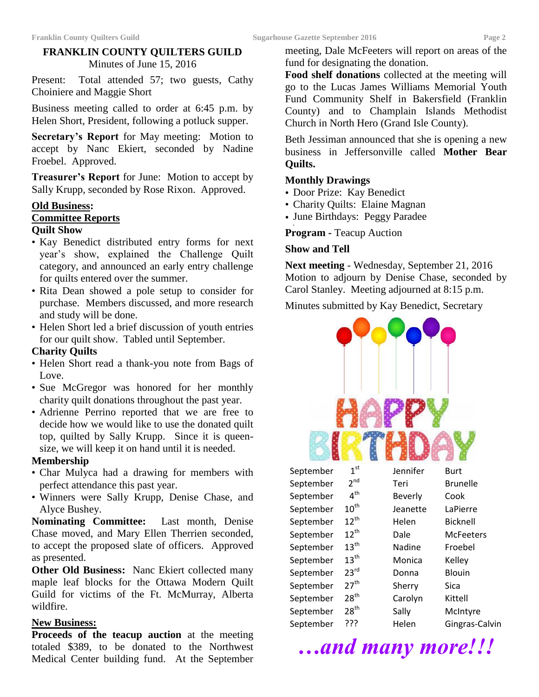## **FRANKLIN COUNTY QUILTERS GUILD** Minutes of June 15, 2016

Present: Total attended 57; two guests, Cathy Choiniere and Maggie Short

Business meeting called to order at 6:45 p.m. by Helen Short, President, following a potluck supper.

**Secretary's Report** for May meeting: Motion to accept by Nanc Ekiert, seconded by Nadine Froebel. Approved.

**Treasurer's Report** for June: Motion to accept by Sally Krupp, seconded by Rose Rixon. Approved.

# **Old Business:**

# **Committee Reports**

#### **Quilt Show**

- Kay Benedict distributed entry forms for next year's show, explained the Challenge Quilt category, and announced an early entry challenge for quilts entered over the summer.
- Rita Dean showed a pole setup to consider for purchase. Members discussed, and more research and study will be done.
- Helen Short led a brief discussion of youth entries for our quilt show. Tabled until September.

### **Charity Quilts**

- Helen Short read a thank-you note from Bags of Love.
- Sue McGregor was honored for her monthly charity quilt donations throughout the past year.
- Adrienne Perrino reported that we are free to decide how we would like to use the donated quilt top, quilted by Sally Krupp. Since it is queensize, we will keep it on hand until it is needed.

### **Membership**

- Char Mulyca had a drawing for members with perfect attendance this past year.
- Winners were Sally Krupp, Denise Chase, and Alyce Bushey.

**Nominating Committee:** Last month, Denise Chase moved, and Mary Ellen Therrien seconded, to accept the proposed slate of officers. Approved as presented.

**Other Old Business:** Nanc Ekiert collected many maple leaf blocks for the Ottawa Modern Quilt Guild for victims of the Ft. McMurray, Alberta wildfire.

# **New Business:**

**Proceeds of the teacup auction** at the meeting totaled \$389, to be donated to the Northwest Medical Center building fund. At the September

meeting, Dale McFeeters will report on areas of the fund for designating the donation.

**Food shelf donations** collected at the meeting will go to the Lucas James Williams Memorial Youth Fund Community Shelf in Bakersfield (Franklin County) and to Champlain Islands Methodist Church in North Hero (Grand Isle County).

Beth Jessiman announced that she is opening a new business in Jeffersonville called **Mother Bear Quilts.**

#### **Monthly Drawings**

- Door Prize: Kay Benedict
- Charity Quilts: Elaine Magnan
- June Birthdays: Peggy Paradee

• **Program -** Teacup Auction

#### **Show and Tell**

**Next meeting** - Wednesday, September 21, 2016 Motion to adjourn by Denise Chase, seconded by Carol Stanley. Meeting adjourned at 8:15 p.m.

Minutes submitted by Kay Benedict, Secretary

| September | 1 <sup>st</sup>  | Jennifer | <b>Burt</b>      |
|-----------|------------------|----------|------------------|
| September | 2 <sup>nd</sup>  | Teri     | <b>Brunelle</b>  |
| September | 4 <sup>th</sup>  | Beverly  | Cook             |
| September | $10^{\text{th}}$ | Jeanette | LaPierre         |
| September | $12^{\text{th}}$ | Helen    | <b>Bicknell</b>  |
| September | $12^{\text{th}}$ | Dale     | <b>McFeeters</b> |
| September | $13^{\text{th}}$ | Nadine   | Froebel          |
| September | $13^{\text{th}}$ | Monica   | Kelley           |
| September | $23^{\text{rd}}$ | Donna    | Blouin           |
| September | $27^{\text{th}}$ | Sherry   | Sica             |
| September | $28^{\text{th}}$ | Carolyn  | Kittell          |
| September | $28^{\sf th}$    | Sally    | McIntyre         |
| September | ???              | Helen    | Gingras-Calvin   |
|           |                  |          |                  |

*…and many more!!!*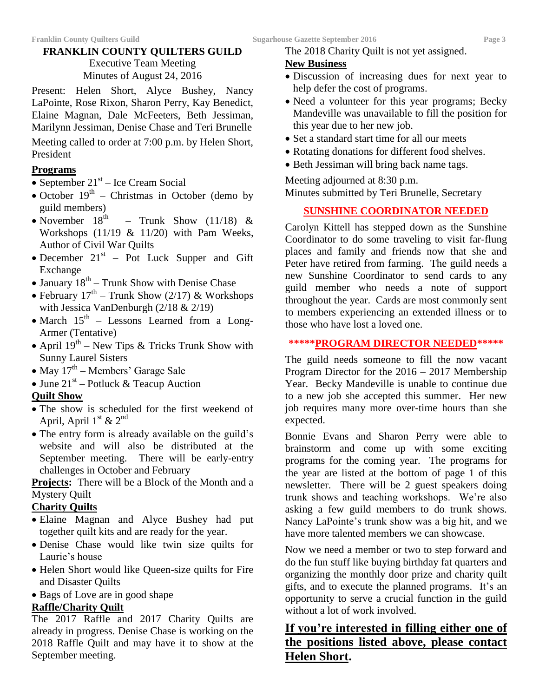#### **FRANKLIN COUNTY QUILTERS GUILD** Executive Team Meeting Minutes of August 24, 2016

Present: Helen Short, Alyce Bushey, Nancy LaPointe, Rose Rixon, Sharon Perry, Kay Benedict, Elaine Magnan, Dale McFeeters, Beth Jessiman, Marilynn Jessiman, Denise Chase and Teri Brunelle

Meeting called to order at 7:00 p.m. by Helen Short, President

#### **Programs**

- $\bullet$  September 21<sup>st</sup> Ice Cream Social
- October  $19<sup>th</sup>$  Christmas in October (demo by guild members)
- November  $18<sup>th</sup>$ – Trunk Show  $(11/18)$  & Workshops (11/19 & 11/20) with Pam Weeks, Author of Civil War Quilts
- December  $21<sup>st</sup>$  Pot Luck Supper and Gift Exchange
- January  $18^{th}$  Trunk Show with Denise Chase
- February  $17^{\text{th}}$  Trunk Show (2/17) & Workshops with Jessica VanDenburgh (2/18 & 2/19)
- March  $15<sup>th</sup>$  Lessons Learned from a Long-Armer (Tentative)
- April  $19^{th}$  New Tips & Tricks Trunk Show with Sunny Laurel Sisters
- May  $17^{\text{th}}$  Members' Garage Sale
- June  $21^{st}$  Potluck & Teacup Auction

# **Quilt Show**

- The show is scheduled for the first weekend of April, April  $1<sup>st</sup>$  &  $2<sup>nd</sup>$
- The entry form is already available on the guild's website and will also be distributed at the September meeting. There will be early-entry challenges in October and February

**Projects:** There will be a Block of the Month and a Mystery Quilt

# **Charity Quilts**

- Elaine Magnan and Alyce Bushey had put together quilt kits and are ready for the year.
- Denise Chase would like twin size quilts for Laurie's house
- Helen Short would like Queen-size quilts for Fire and Disaster Quilts
- Bags of Love are in good shape

# **Raffle/Charity Quilt**

The 2017 Raffle and 2017 Charity Quilts are already in progress. Denise Chase is working on the 2018 Raffle Quilt and may have it to show at the September meeting.

The 2018 Charity Quilt is not yet assigned.

## **New Business**

- Discussion of increasing dues for next year to help defer the cost of programs.
- Need a volunteer for this year programs; Becky Mandeville was unavailable to fill the position for this year due to her new job.
- Set a standard start time for all our meets
- Rotating donations for different food shelves.
- Beth Jessiman will bring back name tags.

Meeting adjourned at 8:30 p.m. Minutes submitted by Teri Brunelle, Secretary

# **SUNSHINE COORDINATOR NEEDED**

Carolyn Kittell has stepped down as the Sunshine Coordinator to do some traveling to visit far-flung places and family and friends now that she and Peter have retired from farming. The guild needs a new Sunshine Coordinator to send cards to any guild member who needs a note of support throughout the year. Cards are most commonly sent to members experiencing an extended illness or to those who have lost a loved one.

#### **\*\*\*\*\*PROGRAM DIRECTOR NEEDED\*\*\*\*\***

The guild needs someone to fill the now vacant Program Director for the 2016 – 2017 Membership Year. Becky Mandeville is unable to continue due to a new job she accepted this summer. Her new job requires many more over-time hours than she expected.

Bonnie Evans and Sharon Perry were able to brainstorm and come up with some exciting programs for the coming year. The programs for the year are listed at the bottom of page 1 of this newsletter. There will be 2 guest speakers doing trunk shows and teaching workshops. We're also asking a few guild members to do trunk shows. Nancy LaPointe's trunk show was a big hit, and we have more talented members we can showcase.

Now we need a member or two to step forward and do the fun stuff like buying birthday fat quarters and organizing the monthly door prize and charity quilt gifts, and to execute the planned programs. It's an opportunity to serve a crucial function in the guild without a lot of work involved.

# **If you're interested in filling either one of the positions listed above, please contact Helen Short.**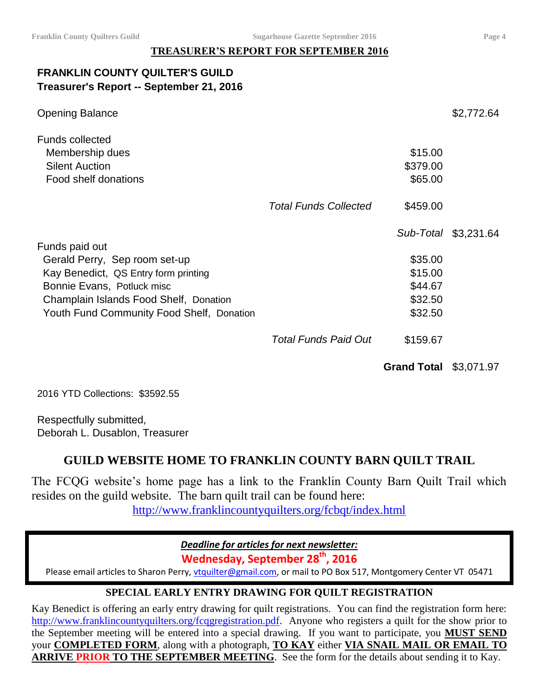## **TREASURER'S REPORT FOR SEPTEMBER 2016**

# **FRANKLIN COUNTY QUILTER'S GUILD Treasurer's Report -- September 21, 2016**

| <b>Opening Balance</b>                                                                     |                              |                                | \$2,772.64           |
|--------------------------------------------------------------------------------------------|------------------------------|--------------------------------|----------------------|
| <b>Funds collected</b><br>Membership dues<br><b>Silent Auction</b><br>Food shelf donations |                              | \$15.00<br>\$379.00<br>\$65.00 |                      |
|                                                                                            | <b>Total Funds Collected</b> | \$459.00                       |                      |
|                                                                                            |                              |                                | Sub-Total \$3,231.64 |
| Funds paid out                                                                             |                              |                                |                      |
| Gerald Perry, Sep room set-up                                                              |                              | \$35.00                        |                      |
| Kay Benedict, QS Entry form printing                                                       |                              | \$15.00                        |                      |
| Bonnie Evans, Potluck misc                                                                 |                              | \$44.67                        |                      |
| Champlain Islands Food Shelf, Donation                                                     |                              | \$32.50                        |                      |
| Youth Fund Community Food Shelf, Donation                                                  |                              | \$32.50                        |                      |
|                                                                                            | Total Funds Paid Out         | \$159.67                       |                      |

**Grand Total** \$3,071.97

2016 YTD Collections: \$3592.55

Respectfully submitted, Deborah L. Dusablon, Treasurer

# **GUILD WEBSITE HOME TO FRANKLIN COUNTY BARN QUILT TRAIL**

The FCQG website's home page has a link to the Franklin County Barn Quilt Trail which resides on the guild website. The barn quilt trail can be found here:

<http://www.franklincountyquilters.org/fcbqt/index.html>

*Deadline for articles for next newsletter:*

**Wednesday, September 28 th , 2016**

Please email articles to Sharon Perry, vtguilter@gmail.com, or mail to PO Box 517, Montgomery Center VT 05471

# **SPECIAL EARLY ENTRY DRAWING FOR QUILT REGISTRATION**

Kay Benedict is offering an early entry drawing for quilt registrations. You can find the registration form here: [http://www.franklincountyquilters.org/fcqgregistration.pdf.](http://www.franklincountyquilters.org/fcqgregistration.pdf) Anyone who registers a quilt for the show prior to the September meeting will be entered into a special drawing. If you want to participate, you **MUST SEND** your **COMPLETED FORM**, along with a photograph, **TO KAY** either **VIA SNAIL MAIL OR EMAIL TO ARRIVE PRIOR TO THE SEPTEMBER MEETING**. See the form for the details about sending it to Kay.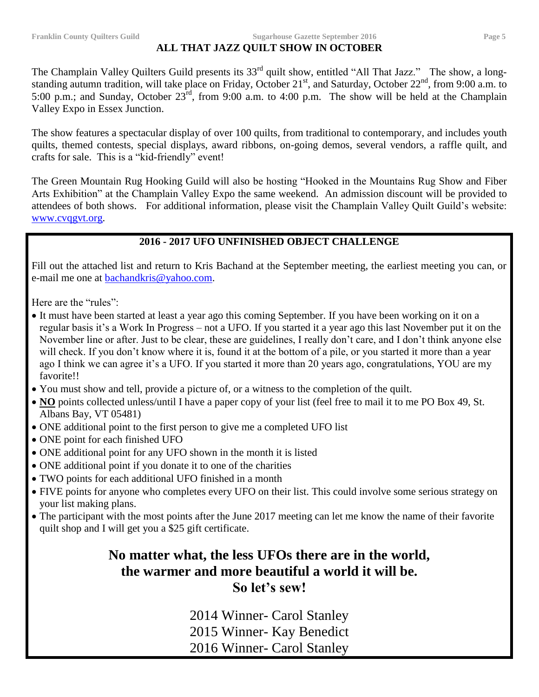#### **Franklin County Quilters Guild Sugarhouse Gazette September 2016 Page 5**

# **ALL THAT JAZZ QUILT SHOW IN OCTOBER**

The Champlain Valley Quilters Guild presents its 33<sup>rd</sup> quilt show, entitled "All That Jazz." The show, a longstanding autumn tradition, will take place on Friday, October  $21^{st}$ , and Saturday, October  $22^{nd}$ , from 9:00 a.m. to 5:00 p.m.; and Sunday, October  $23^{\text{rd}}$ , from 9:00 a.m. to 4:00 p.m. The show will be held at the Champlain Valley Expo in Essex Junction.

The show features a spectacular display of over 100 quilts, from traditional to contemporary, and includes youth quilts, themed contests, special displays, award ribbons, on-going demos, several vendors, a raffle quilt, and crafts for sale. This is a "kid-friendly" event!

The Green Mountain Rug Hooking Guild will also be hosting "Hooked in the Mountains Rug Show and Fiber Arts Exhibition" at the Champlain Valley Expo the same weekend. An admission discount will be provided to attendees of both shows. For additional information, please visit the Champlain Valley Quilt Guild's website: [www.cvqgvt.org.](http://www.cvqgvt.org/)

# **2016 - 2017 UFO UNFINISHED OBJECT CHALLENGE**

Fill out the attached list and return to Kris Bachand at the September meeting, the earliest meeting you can, or e-mail me one at [bachandkris@yahoo.com.](mailto:bachandkris@yahoo.com)

Here are the "rules":

- It must have been started at least a year ago this coming September. If you have been working on it on a regular basis it's a Work In Progress – not a UFO. If you started it a year ago this last November put it on the November line or after. Just to be clear, these are guidelines, I really don't care, and I don't think anyone else will check. If you don't know where it is, found it at the bottom of a pile, or you started it more than a year ago I think we can agree it's a UFO. If you started it more than 20 years ago, congratulations, YOU are my favorite!!
- You must show and tell, provide a picture of, or a witness to the completion of the quilt.
- NO points collected unless/until I have a paper copy of your list (feel free to mail it to me PO Box 49, St. Albans Bay, VT 05481)
- ONE additional point to the first person to give me a completed UFO list
- ONE point for each finished UFO
- ONE additional point for any UFO shown in the month it is listed
- ONE additional point if you donate it to one of the charities
- TWO points for each additional UFO finished in a month
- FIVE points for anyone who completes every UFO on their list. This could involve some serious strategy on your list making plans.
- The participant with the most points after the June 2017 meeting can let me know the name of their favorite quilt shop and I will get you a \$25 gift certificate.

# **No matter what, the less UFOs there are in the world, the warmer and more beautiful a world it will be. So let's sew!**

2014 Winner- Carol Stanley 2015 Winner- Kay Benedict 2016 Winner- Carol Stanley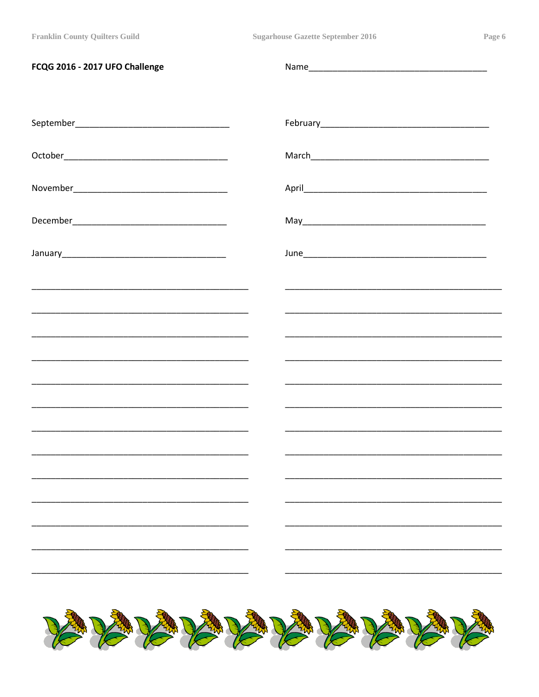| FCQG 2016 - 2017 UFO Challenge |                                                             |
|--------------------------------|-------------------------------------------------------------|
|                                |                                                             |
|                                |                                                             |
|                                |                                                             |
|                                |                                                             |
|                                |                                                             |
|                                |                                                             |
|                                |                                                             |
|                                |                                                             |
|                                |                                                             |
|                                |                                                             |
|                                | <u> 1989 - Johann Stoff, amerikansk politiker (d. 1989)</u> |
|                                |                                                             |
|                                |                                                             |
|                                |                                                             |
|                                |                                                             |
|                                |                                                             |
|                                |                                                             |
| VAVAVAVAVAVAVAVAVA             |                                                             |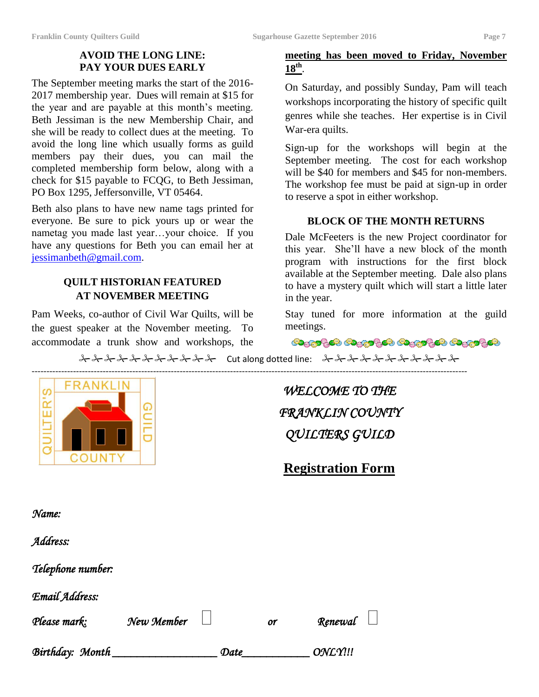#### **AVOID THE LONG LINE: PAY YOUR DUES EARLY**

The September meeting marks the start of the 2016- 2017 membership year. Dues will remain at \$15 for the year and are payable at this month's meeting. Beth Jessiman is the new Membership Chair, and she will be ready to collect dues at the meeting. To avoid the long line which usually forms as guild members pay their dues, you can mail the completed membership form below, along with a check for \$15 payable to FCQG, to Beth Jessiman, PO Box 1295, Jeffersonville, VT 05464.

Beth also plans to have new name tags printed for everyone. Be sure to pick yours up or wear the nametag you made last year…your choice. If you have any questions for Beth you can email her at [jessimanbeth@gmail.com.](mailto:jessimanbeth@gmail.com)

# **QUILT HISTORIAN FEATURED AT NOVEMBER MEETING**

Pam Weeks, co-author of Civil War Quilts, will be the guest speaker at the November meeting. To accommodate a trunk show and workshops, the

# **meeting has been moved to Friday, November 18th** .

On Saturday, and possibly Sunday, Pam will teach workshops incorporating the history of specific quilt genres while she teaches. Her expertise is in Civil War-era quilts.

Sign-up for the workshops will begin at the September meeting. The cost for each workshop will be \$40 for members and \$45 for non-members. The workshop fee must be paid at sign-up in order to reserve a spot in either workshop.

#### **BLOCK OF THE MONTH RETURNS**

Dale McFeeters is the new Project coordinator for this year. She'll have a new block of the month program with instructions for the first block available at the September meeting. Dale also plans to have a mystery quilt which will start a little later in the year.

Stay tuned for more information at the guild meetings.

**මෘදුවෙලිමෙ මෘදුවෙලිමෙ මෘදුවෙලිම මෘදුවෙලිමෙ** 

 $\lambda\lambda\lambda\lambda\lambda\lambda\lambda\lambda\lambda$  Cut along dotted line:  $\lambda\lambda\lambda\lambda\lambda\lambda\lambda\lambda$ 



*WELCOME TO THE FRANKLIN COUNTY QUILTERS GUILD* 

**Registration Form**

*Name:* 

*Address:* 

*Telephone number:* 

*Email Address:* 

*Please mark: New Member or Renewal* 

*Birthday: Month \_\_\_\_\_\_\_\_\_\_\_\_\_\_\_\_\_ Date\_\_\_\_\_\_\_\_\_\_\_ ONLY!!!*